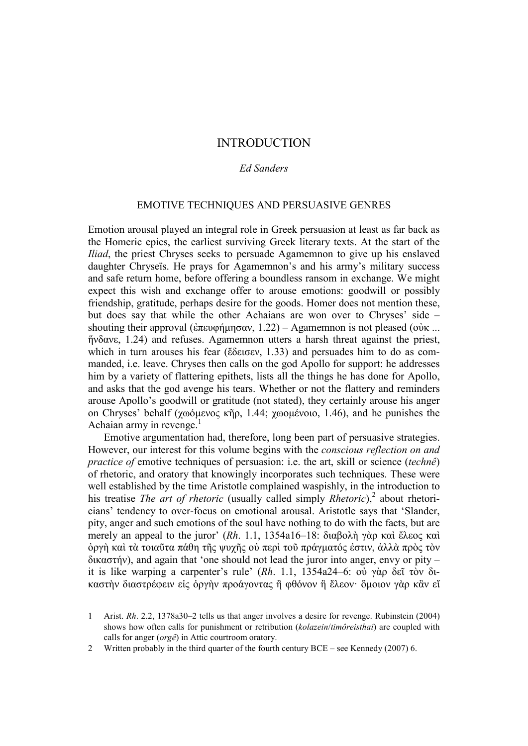# INTRODUCTION

# *Ed Sanders*

# EMOTIVE TECHNIQUES AND PERSUASIVE GENRES

Emotion arousal played an integral role in Greek persuasion at least as far back as the Homeric epics, the earliest surviving Greek literary texts. At the start of the *Iliad*, the priest Chryses seeks to persuade Agamemnon to give up his enslaved daughter Chryseïs. He prays for Agamemnon's and his army's military success and safe return home, before offering a boundless ransom in exchange. We might expect this wish and exchange offer to arouse emotions: goodwill or possibly friendship, gratitude, perhaps desire for the goods. Homer does not mention these, but does say that while the other Achaians are won over to Chryses' side – shouting their approval (ἐπευφήμησαν, 1.22) – Agamemnon is not pleased (οὐκ ... ἥνδανε, 1.24) and refuses. Agamemnon utters a harsh threat against the priest, which in turn arouses his fear (ἔδεισεν, 1.33) and persuades him to do as commanded, i.e. leave. Chryses then calls on the god Apollo for support: he addresses him by a variety of flattering epithets, lists all the things he has done for Apollo, and asks that the god avenge his tears. Whether or not the flattery and reminders arouse Apollo's goodwill or gratitude (not stated), they certainly arouse his anger on Chryses' behalf (χωόμενος κῆρ, 1.44; χωομένοιο, 1.46), and he punishes the Achaian army in revenge.<sup>1</sup>

Emotive argumentation had, therefore, long been part of persuasive strategies. However, our interest for this volume begins with the *conscious reflection on and practice of* emotive techniques of persuasion: i.e. the art, skill or science (*technê*) of rhetoric, and oratory that knowingly incorporates such techniques. These were well established by the time Aristotle complained waspishly, in the introduction to his treatise *The art of rhetoric* (usually called simply *Rhetoric*),<sup>2</sup> about rhetoricians' tendency to over-focus on emotional arousal. Aristotle says that 'Slander, pity, anger and such emotions of the soul have nothing to do with the facts, but are merely an appeal to the juror' (*Rh*. 1.1, 1354a16–18: διαβολὴ γὰρ καὶ ἔλεος καὶ ὀργὴ καὶ τὰ τοιαῦτα πάθη τῆς ψυχῆς οὐ περὶ τοῦ πράγματός ἐστιν, ἀλλὰ πρὸς τὸν δικαστήν), and again that 'one should not lead the juror into anger, envy or pity – it is like warping a carpenter's rule' (*Rh*. 1.1, 1354a24–6: οὐ γὰρ δεῖ τὸν δικαστὴν διαστρέφειν εἰς ὀργὴν προάγοντας ἢ φθόνον ἢ ἔλεον· ὅμοιον γὰρ κἂν εἴ

2 Written probably in the third quarter of the fourth century BCE – see Kennedy (2007) 6.

<sup>1</sup> Arist. *Rh*. 2.2, 1378a30–2 tells us that anger involves a desire for revenge. Rubinstein (2004) shows how often calls for punishment or retribution (*kolazein*/*timôreisthai*) are coupled with calls for anger (*orgê*) in Attic courtroom oratory.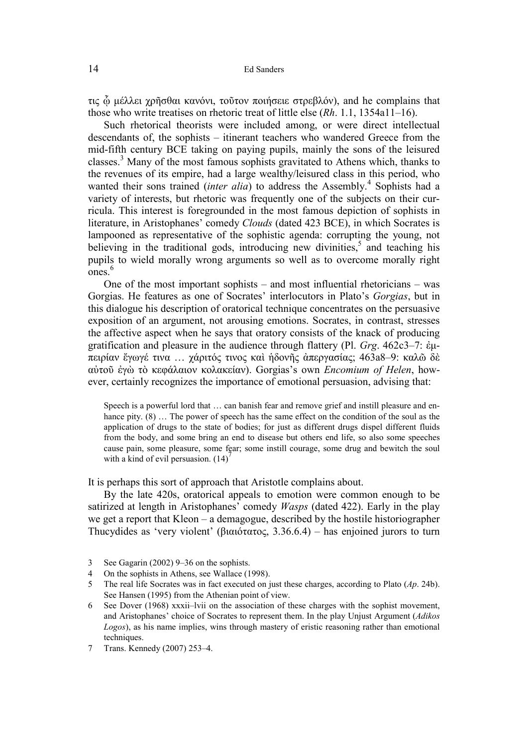τις  $\ddot{\phi}$  μέλλει χρῆσθαι κανόνι, τοῦτον ποιήσειε στρεβλόν), and he complains that those who write treatises on rhetoric treat of little else (*Rh*. 1.1, 1354a11–16).

Such rhetorical theorists were included among, or were direct intellectual descendants of, the sophists – itinerant teachers who wandered Greece from the mid-fifth century BCE taking on paying pupils, mainly the sons of the leisured classes.<sup>3</sup> Many of the most famous sophists gravitated to Athens which, thanks to the revenues of its empire, had a large wealthy/leisured class in this period, who wanted their sons trained (*inter alia*) to address the Assembly.<sup>4</sup> Sophists had a variety of interests, but rhetoric was frequently one of the subjects on their curricula. This interest is foregrounded in the most famous depiction of sophists in literature, in Aristophanes' comedy *Clouds* (dated 423 BCE), in which Socrates is lampooned as representative of the sophistic agenda: corrupting the young, not believing in the traditional gods, introducing new divinities,<sup>5</sup> and teaching his pupils to wield morally wrong arguments so well as to overcome morally right  $\frac{1}{2}$ ones<sup>6</sup>

One of the most important sophists – and most influential rhetoricians – was Gorgias. He features as one of Socrates' interlocutors in Plato's *Gorgias*, but in this dialogue his description of oratorical technique concentrates on the persuasive exposition of an argument, not arousing emotions. Socrates, in contrast, stresses the affective aspect when he says that oratory consists of the knack of producing gratification and pleasure in the audience through flattery (Pl. *Grg*. 462c3–7: ἐμπειρίαν ἔγωγέ τινα … χάριτός τινος καὶ ἡδονῆς ἀπεργασίας; 463a8–9: καλῶ δὲ αὐτοῦ ἐγὼ τὸ κεφάλαιον κολακείαν). Gorgias's own *Encomium of Helen*, however, certainly recognizes the importance of emotional persuasion, advising that:

Speech is a powerful lord that ... can banish fear and remove grief and instill pleasure and enhance pity.  $(8)$  ... The power of speech has the same effect on the condition of the soul as the application of drugs to the state of bodies; for just as different drugs dispel different fluids from the body, and some bring an end to disease but others end life, so also some speeches cause pain, some pleasure, some fear; some instill courage, some drug and bewitch the soul with a kind of evil persuasion.  $(14)'$ 

It is perhaps this sort of approach that Aristotle complains about.

By the late 420s, oratorical appeals to emotion were common enough to be satirized at length in Aristophanes' comedy *Wasps* (dated 422). Early in the play we get a report that Kleon – a demagogue, described by the hostile historiographer Thucydides as 'very violent' (βιαιότατος, 3.36.6.4) – has enjoined jurors to turn

- 4 On the sophists in Athens, see Wallace (1998).
- 5 The real life Socrates was in fact executed on just these charges, according to Plato (*Ap*. 24b). See Hansen (1995) from the Athenian point of view.
- 6 See Dover (1968) xxxii–lvii on the association of these charges with the sophist movement, and Aristophanes' choice of Socrates to represent them. In the play Unjust Argument (*Adikos Logos*), as his name implies, wins through mastery of eristic reasoning rather than emotional techniques.
- 7 Trans. Kennedy (2007) 253–4.

<sup>3</sup> See Gagarin (2002) 9–36 on the sophists.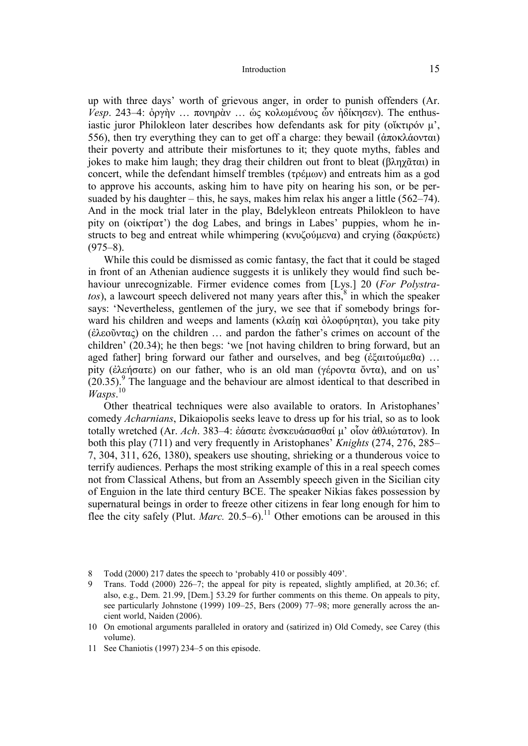#### Introduction 15

up with three days' worth of grievous anger, in order to punish offenders (Ar. *Vesp*. 243–4: ὀργὴν … πονηρὰν … ὡς κολωμένους ὧν ἠδίκησεν). The enthusiastic juror Philokleon later describes how defendants ask for pity (οἴκτιρόν μ', 556), then try everything they can to get off a charge: they bewail (ἀποκλάονται) their poverty and attribute their misfortunes to it; they quote myths, fables and  $j$  iokes to make him laugh; they drag their children out front to bleat (βληγάται) in concert, while the defendant himself trembles (τρέμων) and entreats him as a god to approve his accounts, asking him to have pity on hearing his son, or be persuaded by his daughter – this, he says, makes him relax his anger a little (562–74). And in the mock trial later in the play, Bdelykleon entreats Philokleon to have pity on (οἰκτίρατ') the dog Labes, and brings in Labes' puppies, whom he instructs to beg and entreat while whimpering (κνυζούμενα) and crying (δακρύετε)  $(975-8)$ .

While this could be dismissed as comic fantasy, the fact that it could be staged in front of an Athenian audience suggests it is unlikely they would find such behaviour unrecognizable. Firmer evidence comes from [Lys.] 20 (*For Polystra*tos), a lawcourt speech delivered not many years after this,<sup>8</sup> in which the speaker says: 'Nevertheless, gentlemen of the jury, we see that if somebody brings forward his children and weeps and laments (κλαίη καὶ ὀλοφύρηται), you take pity (ἐλεοῦντας) on the children … and pardon the father's crimes on account of the children' (20.34); he then begs: 'we [not having children to bring forward, but an aged father] bring forward our father and ourselves, and beg ( $\epsilon \xi \alpha \tau \sigma \omega \alpha \epsilon \theta$ ) ... pity (ἐλεήσατε) on our father, who is an old man (γέροντα ὄντα), and on us'  $(20.35)$ <sup>9</sup>. The language and the behaviour are almost identical to that described in *Wasps*. 10

Other theatrical techniques were also available to orators. In Aristophanes' comedy *Acharnians*, Dikaiopolis seeks leave to dress up for his trial, so as to look totally wretched (Ar. *Ach*. 383–4: ἐάσατε ἐνσκευάσασθαί μ' οἷον ἀθλιώτατον). In both this play (711) and very frequently in Aristophanes' *Knights* (274, 276, 285– 7, 304, 311, 626, 1380), speakers use shouting, shrieking or a thunderous voice to terrify audiences. Perhaps the most striking example of this in a real speech comes not from Classical Athens, but from an Assembly speech given in the Sicilian city of Enguion in the late third century BCE. The speaker Nikias fakes possession by supernatural beings in order to freeze other citizens in fear long enough for him to flee the city safely (Plut. *Marc.* 20.5–6).<sup>11</sup> Other emotions can be aroused in this

<sup>8</sup> Todd (2000) 217 dates the speech to 'probably 410 or possibly 409'.

<sup>9</sup> Trans. Todd (2000) 226–7; the appeal for pity is repeated, slightly amplified, at 20.36; cf. also, e.g., Dem. 21.99, [Dem.] 53.29 for further comments on this theme. On appeals to pity, see particularly Johnstone (1999) 109–25, Bers (2009) 77–98; more generally across the ancient world, Naiden (2006).

<sup>10</sup> On emotional arguments paralleled in oratory and (satirized in) Old Comedy, see Carey (this volume).

<sup>11</sup> See Chaniotis (1997) 234–5 on this episode.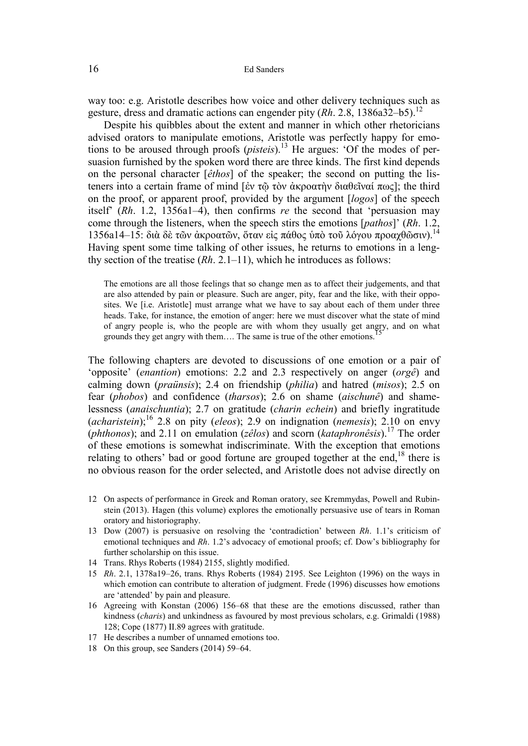way too: e.g. Aristotle describes how voice and other delivery techniques such as gesture, dress and dramatic actions can engender pity (*Rh*. 2.8, 1386a32–b5).<sup>12</sup>

Despite his quibbles about the extent and manner in which other rhetoricians advised orators to manipulate emotions, Aristotle was perfectly happy for emotions to be aroused through proofs (*pisteis*).<sup>13</sup> He argues: 'Of the modes of persuasion furnished by the spoken word there are three kinds. The first kind depends on the personal character [*êthos*] of the speaker; the second on putting the listeners into a certain frame of mind [ἐν τῷ τὸν ἀκροατὴν διαθεῖναί πως]; the third on the proof, or apparent proof, provided by the argument [*logos*] of the speech itself' (*Rh*. 1.2, 1356a1–4), then confirms *re* the second that 'persuasion may come through the listeners, when the speech stirs the emotions [*pathos*]' (*Rh*. 1.2, 1356a14–15: διὰ δὲ τῶν ἀκροατῶν, ὅταν εἰς πάθος ὑπὸ τοῦ λόγου προαχθῶσιν).<sup>14</sup> Having spent some time talking of other issues, he returns to emotions in a lengthy section of the treatise (*Rh*. 2.1–11), which he introduces as follows:

The emotions are all those feelings that so change men as to affect their judgements, and that are also attended by pain or pleasure. Such are anger, pity, fear and the like, with their opposites. We [i.e. Aristotle] must arrange what we have to say about each of them under three heads. Take, for instance, the emotion of anger: here we must discover what the state of mind of angry people is, who the people are with whom they usually get angry, and on what grounds they get angry with them.... The same is true of the other emotions.<sup>1</sup>

The following chapters are devoted to discussions of one emotion or a pair of 'opposite' (*enantion*) emotions: 2.2 and 2.3 respectively on anger (*orgê*) and calming down (*praünsis*); 2.4 on friendship (*philia*) and hatred (*misos*); 2.5 on fear (*phobos*) and confidence (*tharsos*); 2.6 on shame (*aischunê*) and shamelessness (*anaischuntia*); 2.7 on gratitude (*charin echein*) and briefly ingratitude  $(acharistein);$ <sup>16</sup> 2.8 on pity (*eleos*); 2.9 on indignation (*nemesis*); 2.10 on envy (*phthonos*); and 2.11 on emulation (*zêlos*) and scorn (*kataphronêsis*).<sup>17</sup> The order of these emotions is somewhat indiscriminate. With the exception that emotions relating to others' bad or good fortune are grouped together at the end, $18$  there is no obvious reason for the order selected, and Aristotle does not advise directly on

- 12 On aspects of performance in Greek and Roman oratory, see Kremmydas, Powell and Rubinstein (2013). Hagen (this volume) explores the emotionally persuasive use of tears in Roman oratory and historiography.
- 13 Dow (2007) is persuasive on resolving the 'contradiction' between *Rh*. 1.1's criticism of emotional techniques and *Rh*. 1.2's advocacy of emotional proofs; cf. Dow's bibliography for further scholarship on this issue.
- 14 Trans. Rhys Roberts (1984) 2155, slightly modified.
- 15 *Rh*. 2.1, 1378a19–26, trans. Rhys Roberts (1984) 2195. See Leighton (1996) on the ways in which emotion can contribute to alteration of judgment. Frede (1996) discusses how emotions are 'attended' by pain and pleasure.
- 16 Agreeing with Konstan (2006) 156–68 that these are the emotions discussed, rather than kindness (*charis*) and unkindness as favoured by most previous scholars, e.g. Grimaldi (1988) 128; Cope (1877) II.89 agrees with gratitude.
- 17 He describes a number of unnamed emotions too.
- 18 On this group, see Sanders (2014) 59–64.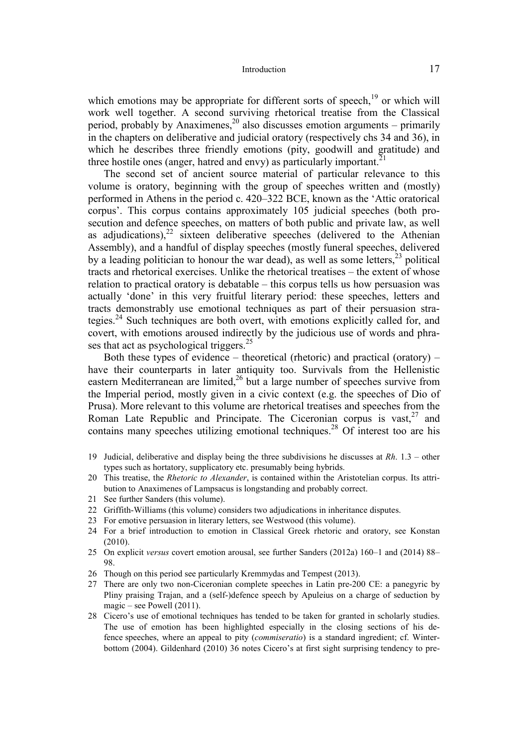Introduction 17

which emotions may be appropriate for different sorts of speech, $19$  or which will work well together. A second surviving rhetorical treatise from the Classical period, probably by Anaximenes,<sup>20</sup> also discusses emotion arguments – primarily in the chapters on deliberative and judicial oratory (respectively chs 34 and 36), in which he describes three friendly emotions (pity, goodwill and gratitude) and three hostile ones (anger, hatred and envy) as particularly important.<sup>21</sup>

The second set of ancient source material of particular relevance to this volume is oratory, beginning with the group of speeches written and (mostly) performed in Athens in the period c. 420–322 BCE, known as the 'Attic oratorical corpus'. This corpus contains approximately 105 judicial speeches (both prosecution and defence speeches, on matters of both public and private law, as well as adjudications), $^{22}$  sixteen deliberative speeches (delivered to the Athenian Assembly), and a handful of display speeches (mostly funeral speeches, delivered by a leading politician to honour the war dead), as well as some letters,  $^{23}$  political tracts and rhetorical exercises. Unlike the rhetorical treatises – the extent of whose relation to practical oratory is debatable – this corpus tells us how persuasion was actually 'done' in this very fruitful literary period: these speeches, letters and tracts demonstrably use emotional techniques as part of their persuasion strategies.<sup>24</sup> Such techniques are both overt, with emotions explicitly called for, and covert, with emotions aroused indirectly by the judicious use of words and phrases that act as psychological triggers. $^{25}$ 

Both these types of evidence – theoretical (rhetoric) and practical (oratory) – have their counterparts in later antiquity too. Survivals from the Hellenistic eastern Mediterranean are limited,<sup>26</sup> but a large number of speeches survive from the Imperial period, mostly given in a civic context (e.g. the speeches of Dio of Prusa). More relevant to this volume are rhetorical treatises and speeches from the Roman Late Republic and Principate. The Ciceronian corpus is vast,  $27$  and contains many speeches utilizing emotional techniques.<sup>28</sup> Of interest too are his

- 19 Judicial, deliberative and display being the three subdivisions he discusses at *Rh*. 1.3 other types such as hortatory, supplicatory etc. presumably being hybrids.
- 20 This treatise, the *Rhetoric to Alexander*, is contained within the Aristotelian corpus. Its attribution to Anaximenes of Lampsacus is longstanding and probably correct.
- 21 See further Sanders (this volume).
- 22 Griffith-Williams (this volume) considers two adjudications in inheritance disputes.
- 23 For emotive persuasion in literary letters, see Westwood (this volume).
- 24 For a brief introduction to emotion in Classical Greek rhetoric and oratory, see Konstan (2010).
- 25 On explicit *versus* covert emotion arousal, see further Sanders (2012a) 160–1 and (2014) 88– 98.
- 26 Though on this period see particularly Kremmydas and Tempest (2013).
- 27 There are only two non-Ciceronian complete speeches in Latin pre-200 CE: a panegyric by Pliny praising Trajan, and a (self-)defence speech by Apuleius on a charge of seduction by magic – see Powell (2011).
- 28 Cicero's use of emotional techniques has tended to be taken for granted in scholarly studies. The use of emotion has been highlighted especially in the closing sections of his defence speeches, where an appeal to pity (*commiseratio*) is a standard ingredient; cf. Winterbottom (2004). Gildenhard (2010) 36 notes Cicero's at first sight surprising tendency to pre-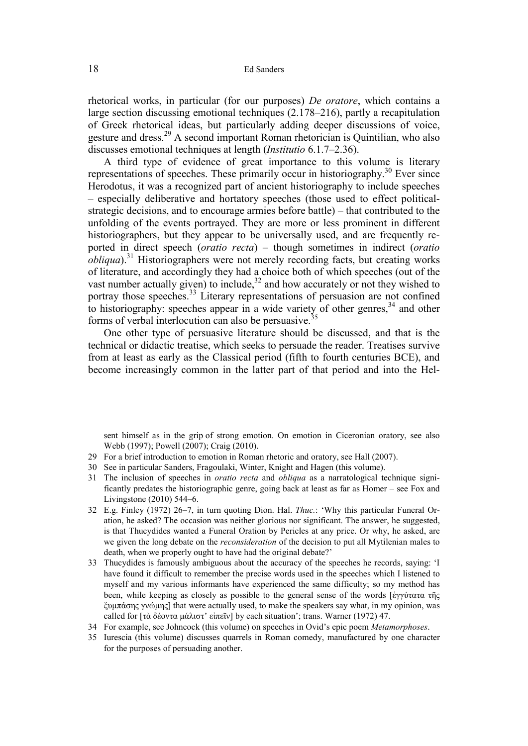rhetorical works, in particular (for our purposes) *De oratore*, which contains a large section discussing emotional techniques (2.178–216), partly a recapitulation of Greek rhetorical ideas, but particularly adding deeper discussions of voice, gesture and dress.<sup>29</sup> A second important Roman rhetorician is Quintilian, who also discusses emotional techniques at length (*Institutio* 6.1.7–2.36).

A third type of evidence of great importance to this volume is literary representations of speeches. These primarily occur in historiography.<sup>30</sup> Ever since Herodotus, it was a recognized part of ancient historiography to include speeches – especially deliberative and hortatory speeches (those used to effect politicalstrategic decisions, and to encourage armies before battle) – that contributed to the unfolding of the events portrayed. They are more or less prominent in different historiographers, but they appear to be universally used, and are frequently reported in direct speech (*oratio recta*) – though sometimes in indirect (*oratio obliqua*).<sup>31</sup> Historiographers were not merely recording facts, but creating works of literature, and accordingly they had a choice both of which speeches (out of the vast number actually given) to include,<sup>32</sup> and how accurately or not they wished to portray those speeches.<sup>33</sup> Literary representations of persuasion are not confined to historiography: speeches appear in a wide variety of other genres,  $34$  and other forms of verbal interlocution can also be persuasive.<sup>35</sup>

One other type of persuasive literature should be discussed, and that is the technical or didactic treatise, which seeks to persuade the reader. Treatises survive from at least as early as the Classical period (fifth to fourth centuries BCE), and become increasingly common in the latter part of that period and into the Hel-

sent himself as in the grip of strong emotion. On emotion in Ciceronian oratory, see also Webb (1997); Powell (2007); Craig (2010).

- 29 For a brief introduction to emotion in Roman rhetoric and oratory, see Hall (2007).
- 30 See in particular Sanders, Fragoulaki, Winter, Knight and Hagen (this volume).
- 31 The inclusion of speeches in *oratio recta* and *obliqua* as a narratological technique significantly predates the historiographic genre, going back at least as far as Homer – see Fox and Livingstone (2010) 544–6.
- 32 E.g. Finley (1972) 26–7, in turn quoting Dion. Hal. *Thuc.*: 'Why this particular Funeral Oration, he asked? The occasion was neither glorious nor significant. The answer, he suggested, is that Thucydides wanted a Funeral Oration by Pericles at any price. Or why, he asked, are we given the long debate on the *reconsideration* of the decision to put all Mytilenian males to death, when we properly ought to have had the original debate?'
- 33 Thucydides is famously ambiguous about the accuracy of the speeches he records, saying: 'I have found it difficult to remember the precise words used in the speeches which I listened to myself and my various informants have experienced the same difficulty; so my method has been, while keeping as closely as possible to the general sense of the words [ἐγγύτατα τῆς ξυμπάσης γνώμης] that were actually used, to make the speakers say what, in my opinion, was called for [τὰ δέοντα μάλιστ' εἰπεῖν] by each situation'; trans. Warner (1972) 47.
- 34 For example, see Johncock (this volume) on speeches in Ovid's epic poem *Metamorphoses*.
- 35 Iurescia (this volume) discusses quarrels in Roman comedy, manufactured by one character for the purposes of persuading another.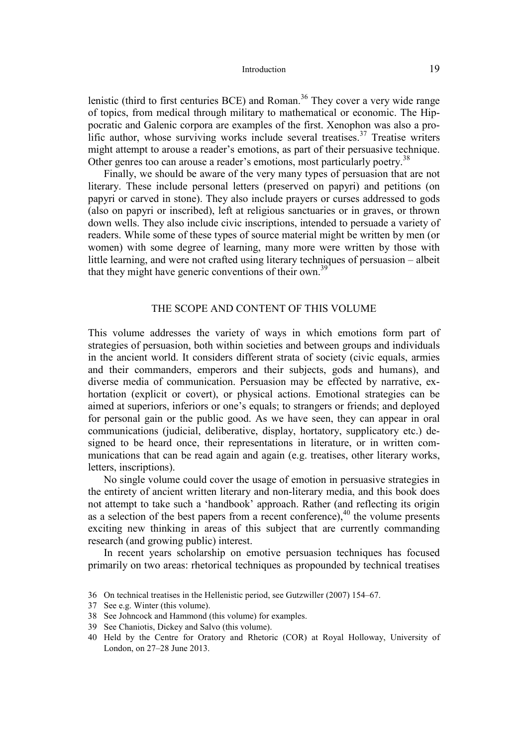Introduction 19

lenistic (third to first centuries BCE) and Roman.<sup>36</sup> They cover a very wide range of topics, from medical through military to mathematical or economic. The Hippocratic and Galenic corpora are examples of the first. Xenophon was also a prolific author, whose surviving works include several treatises.<sup>37</sup> Treatise writers might attempt to arouse a reader's emotions, as part of their persuasive technique. Other genres too can arouse a reader's emotions, most particularly poetry.<sup>38</sup>

Finally, we should be aware of the very many types of persuasion that are not literary. These include personal letters (preserved on papyri) and petitions (on papyri or carved in stone). They also include prayers or curses addressed to gods (also on papyri or inscribed), left at religious sanctuaries or in graves, or thrown down wells. They also include civic inscriptions, intended to persuade a variety of readers. While some of these types of source material might be written by men (or women) with some degree of learning, many more were written by those with little learning, and were not crafted using literary techniques of persuasion – albeit that they might have generic conventions of their own.<sup>39</sup>

### THE SCOPE AND CONTENT OF THIS VOLUME

This volume addresses the variety of ways in which emotions form part of strategies of persuasion, both within societies and between groups and individuals in the ancient world. It considers different strata of society (civic equals, armies and their commanders, emperors and their subjects, gods and humans), and diverse media of communication. Persuasion may be effected by narrative, exhortation (explicit or covert), or physical actions. Emotional strategies can be aimed at superiors, inferiors or one's equals; to strangers or friends; and deployed for personal gain or the public good. As we have seen, they can appear in oral communications (judicial, deliberative, display, hortatory, supplicatory etc.) designed to be heard once, their representations in literature, or in written communications that can be read again and again (e.g. treatises, other literary works, letters, inscriptions).

No single volume could cover the usage of emotion in persuasive strategies in the entirety of ancient written literary and non-literary media, and this book does not attempt to take such a 'handbook' approach. Rather (and reflecting its origin as a selection of the best papers from a recent conference),  $40$  the volume presents exciting new thinking in areas of this subject that are currently commanding research (and growing public) interest.

In recent years scholarship on emotive persuasion techniques has focused primarily on two areas: rhetorical techniques as propounded by technical treatises

<sup>36</sup> On technical treatises in the Hellenistic period, see Gutzwiller (2007) 154–67.

<sup>37</sup> See e.g. Winter (this volume).

<sup>38</sup> See Johncock and Hammond (this volume) for examples.

<sup>39</sup> See Chaniotis, Dickey and Salvo (this volume).

<sup>40</sup> Held by the Centre for Oratory and Rhetoric (COR) at Royal Holloway, University of London, on 27–28 June 2013.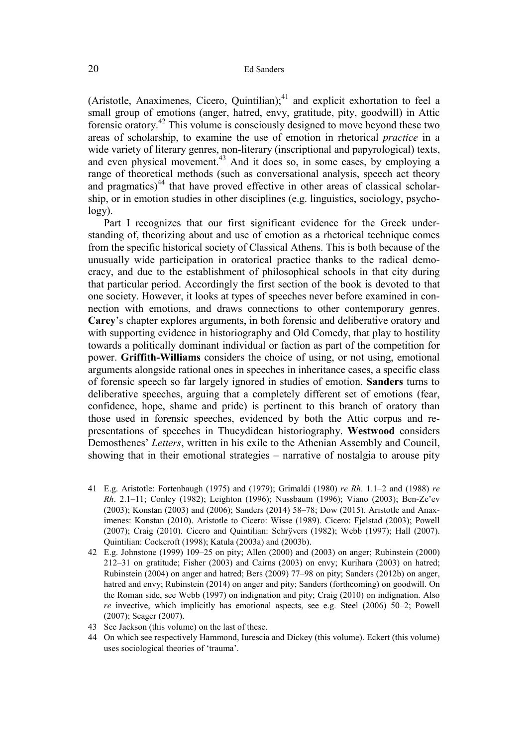(Aristotle, Anaximenes, Cicero, Quintilian); $41$  and explicit exhortation to feel a small group of emotions (anger, hatred, envy, gratitude, pity, goodwill) in Attic forensic oratory.<sup>42</sup> This volume is consciously designed to move beyond these two areas of scholarship, to examine the use of emotion in rhetorical *practice* in a wide variety of literary genres, non-literary (inscriptional and papyrological) texts, and even physical movement.<sup>43</sup> And it does so, in some cases, by employing a range of theoretical methods (such as conversational analysis, speech act theory and pragmatics) $44$  that have proved effective in other areas of classical scholarship, or in emotion studies in other disciplines (e.g. linguistics, sociology, psycho $log<sub>V</sub>$ ).

Part I recognizes that our first significant evidence for the Greek understanding of, theorizing about and use of emotion as a rhetorical technique comes from the specific historical society of Classical Athens. This is both because of the unusually wide participation in oratorical practice thanks to the radical democracy, and due to the establishment of philosophical schools in that city during that particular period. Accordingly the first section of the book is devoted to that one society. However, it looks at types of speeches never before examined in connection with emotions, and draws connections to other contemporary genres. **Carey**'s chapter explores arguments, in both forensic and deliberative oratory and with supporting evidence in historiography and Old Comedy, that play to hostility towards a politically dominant individual or faction as part of the competition for power. **Griffith-Williams** considers the choice of using, or not using, emotional arguments alongside rational ones in speeches in inheritance cases, a specific class of forensic speech so far largely ignored in studies of emotion. **Sanders** turns to deliberative speeches, arguing that a completely different set of emotions (fear, confidence, hope, shame and pride) is pertinent to this branch of oratory than those used in forensic speeches, evidenced by both the Attic corpus and representations of speeches in Thucydidean historiography. **Westwood** considers Demosthenes' *Letters*, written in his exile to the Athenian Assembly and Council, showing that in their emotional strategies – narrative of nostalgia to arouse pity

- 41 E.g. Aristotle: Fortenbaugh (1975) and (1979); Grimaldi (1980) *re Rh*. 1.1–2 and (1988) *re Rh*. 2.1–11; Conley (1982); Leighton (1996); Nussbaum (1996); Viano (2003); Ben-Ze'ev (2003); Konstan (2003) and (2006); Sanders (2014) 58–78; Dow (2015). Aristotle and Anaximenes: Konstan (2010). Aristotle to Cicero: Wisse (1989). Cicero: Fjelstad (2003); Powell (2007); Craig (2010). Cicero and Quintilian: Schrÿvers (1982); Webb (1997); Hall (2007). Quintilian: Cockcroft (1998); Katula (2003a) and (2003b).
- 42 E.g. Johnstone (1999) 109–25 on pity; Allen (2000) and (2003) on anger; Rubinstein (2000) 212–31 on gratitude; Fisher (2003) and Cairns (2003) on envy; Kurihara (2003) on hatred; Rubinstein (2004) on anger and hatred; Bers (2009) 77–98 on pity; Sanders (2012b) on anger, hatred and envy; Rubinstein (2014) on anger and pity; Sanders (forthcoming) on goodwill. On the Roman side, see Webb (1997) on indignation and pity; Craig (2010) on indignation. Also *re* invective, which implicitly has emotional aspects, see e.g. Steel (2006) 50–2; Powell (2007); Seager (2007).
- 43 See Jackson (this volume) on the last of these.
- 44 On which see respectively Hammond, Iurescia and Dickey (this volume). Eckert (this volume) uses sociological theories of 'trauma'.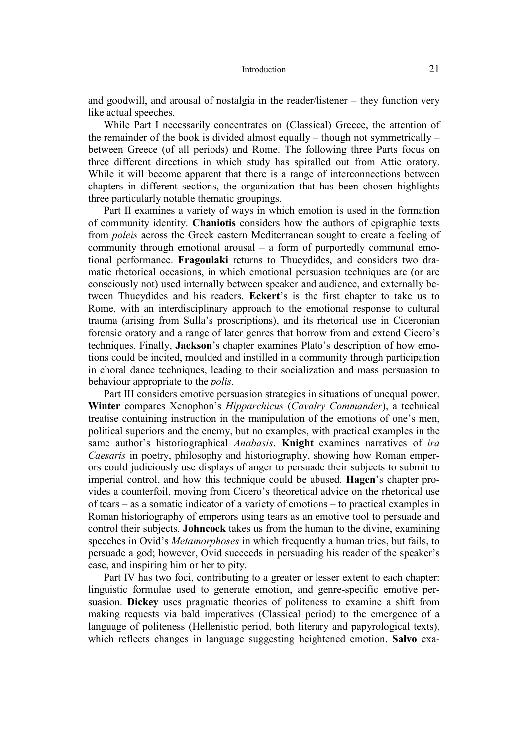and goodwill, and arousal of nostalgia in the reader/listener – they function very like actual speeches.

While Part I necessarily concentrates on (Classical) Greece, the attention of the remainder of the book is divided almost equally – though not symmetrically – between Greece (of all periods) and Rome. The following three Parts focus on three different directions in which study has spiralled out from Attic oratory. While it will become apparent that there is a range of interconnections between chapters in different sections, the organization that has been chosen highlights three particularly notable thematic groupings.

Part II examines a variety of ways in which emotion is used in the formation of community identity. **Chaniotis** considers how the authors of epigraphic texts from *poleis* across the Greek eastern Mediterranean sought to create a feeling of community through emotional arousal – a form of purportedly communal emotional performance. **Fragoulaki** returns to Thucydides, and considers two dramatic rhetorical occasions, in which emotional persuasion techniques are (or are consciously not) used internally between speaker and audience, and externally between Thucydides and his readers. **Eckert**'s is the first chapter to take us to Rome, with an interdisciplinary approach to the emotional response to cultural trauma (arising from Sulla's proscriptions), and its rhetorical use in Ciceronian forensic oratory and a range of later genres that borrow from and extend Cicero's techniques. Finally, **Jackson**'s chapter examines Plato's description of how emotions could be incited, moulded and instilled in a community through participation in choral dance techniques, leading to their socialization and mass persuasion to behaviour appropriate to the *polis*.

Part III considers emotive persuasion strategies in situations of unequal power. **Winter** compares Xenophon's *Hipparchicus* (*Cavalry Commander*), a technical treatise containing instruction in the manipulation of the emotions of one's men, political superiors and the enemy, but no examples, with practical examples in the same author's historiographical *Anabasis*. **Knight** examines narratives of *ira Caesaris* in poetry, philosophy and historiography, showing how Roman emperors could judiciously use displays of anger to persuade their subjects to submit to imperial control, and how this technique could be abused. **Hagen**'s chapter provides a counterfoil, moving from Cicero's theoretical advice on the rhetorical use of tears – as a somatic indicator of a variety of emotions – to practical examples in Roman historiography of emperors using tears as an emotive tool to persuade and control their subjects. **Johncock** takes us from the human to the divine, examining speeches in Ovid's *Metamorphoses* in which frequently a human tries, but fails, to persuade a god; however, Ovid succeeds in persuading his reader of the speaker's case, and inspiring him or her to pity.

Part IV has two foci, contributing to a greater or lesser extent to each chapter: linguistic formulae used to generate emotion, and genre-specific emotive persuasion. **Dickey** uses pragmatic theories of politeness to examine a shift from making requests via bald imperatives (Classical period) to the emergence of a language of politeness (Hellenistic period, both literary and papyrological texts), which reflects changes in language suggesting heightened emotion. **Salvo** exa-